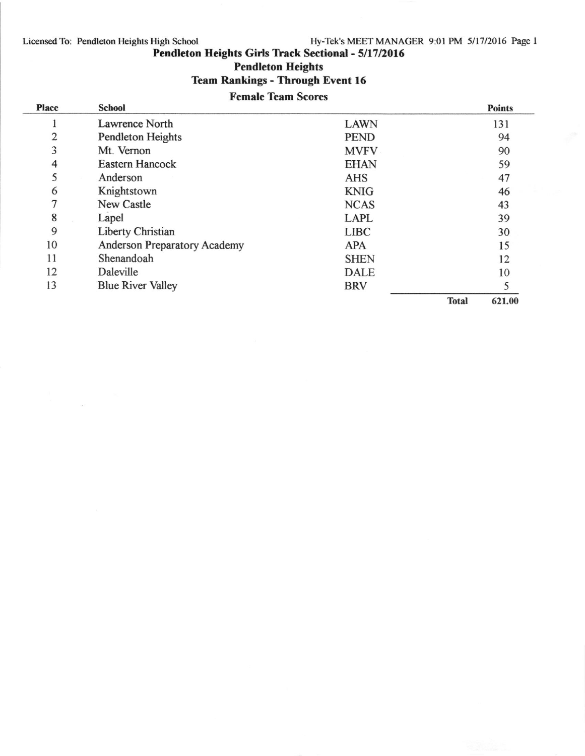# Licensed To: Pendleton Heights High School

# Hy-Tek's MEET MANAGER 9:01 PM 5/1712016 Page I

Pendleton Heights Girls Track Sectional - 5/17/2016

Pendleton Heights

# Team Rankings - Through Event 16

# Female Team Scores

| <b>Place</b>   | <b>School</b>                |             |              | <b>Points</b> |
|----------------|------------------------------|-------------|--------------|---------------|
|                | Lawrence North               | <b>LAWN</b> |              | 131           |
| $\overline{2}$ | Pendleton Heights            | <b>PEND</b> |              | 94            |
| 3              | Mt. Vernon                   | <b>MVFV</b> |              | 90            |
| $\overline{4}$ | Eastern Hancock              | <b>EHAN</b> |              | 59            |
| 5              | Anderson                     | <b>AHS</b>  |              | 47            |
| 6              | Knightstown                  | <b>KNIG</b> |              | 46            |
| $\overline{7}$ | <b>New Castle</b>            | <b>NCAS</b> |              | 43            |
| 8              | Lapel                        | <b>LAPL</b> |              | 39            |
| 9              | Liberty Christian            | <b>LIBC</b> |              | 30            |
| 10             | Anderson Preparatory Academy | <b>APA</b>  |              | 15            |
| 11             | Shenandoah                   | <b>SHEN</b> |              | 12            |
| 12             | Daleville                    | <b>DALE</b> |              | 10            |
| 13             | <b>Blue River Valley</b>     | <b>BRV</b>  |              |               |
|                |                              |             | <b>Total</b> | 621.00        |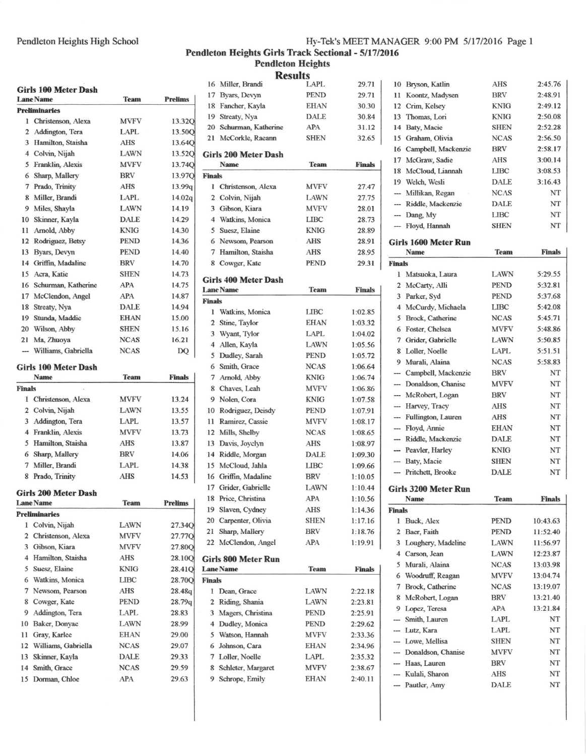### Pendleton Heights High School

# Hy-Tek's MEET MANAGER 9:00 PM 5/17/2016 Page 1

Pendleton Heights Girls Track Sectional - 5/17/2016<br>Pendleton Heights

|                          | Girls 100 Meter Dash<br><b>Lane Name</b> | <b>Team</b> | <b>Prelims</b>     |
|--------------------------|------------------------------------------|-------------|--------------------|
|                          | <b>Preliminaries</b>                     |             |                    |
|                          | 1 Christenson, Alexa                     | <b>MVFV</b> | 13.32 <sub>C</sub> |
|                          | 2 Addington, Tera                        | LAPL        | 13.500             |
|                          | 3 Hamilton, Staisha                      | <b>AHS</b>  | 13.640             |
|                          | 4 Colvin, Nijah                          | LAWN        | 13.520             |
|                          | 5 Franklin, Alexis                       | <b>MVFV</b> | 13.740             |
|                          | 6 Sharp, Mallery                         | <b>BRV</b>  | 13.970             |
|                          | 7 Prado, Trinity                         | AHS         |                    |
|                          |                                          | <b>LAPL</b> | 13.99q             |
|                          | 8 Miller, Brandi                         |             | 14.02q             |
|                          | 9 Miles, Shayla                          | LAWN        | 14.19              |
|                          | 10 Skinner, Kayla                        | <b>DALE</b> | 14.29              |
|                          | 11 Arnold, Abby                          | <b>KNIG</b> | 14.30              |
|                          | 12 Rodriguez, Betsy                      | PEND        | 14.36              |
|                          | 13 Byars, Devyn                          | PEND        | 14.40              |
|                          | 14 Griffin, Madaline                     | BRV         | 14.70              |
|                          | 15 Acra, Katie                           | <b>SHEN</b> | 14.73              |
|                          | 16 Schurman, Katherine                   | <b>APA</b>  | 14.75              |
|                          | 17 McClendon, Angel                      | APA         | 14.87              |
|                          | 18 Streaty, Nya                          | DALE        | 14.94              |
|                          | 19 Stunda, Maddie                        | EHAN        | 15.00              |
|                          | 20 Wilson, Abby                          | <b>SHEN</b> | 15.16              |
|                          | 21 Ma, Zhuoya                            | <b>NCAS</b> | 16.21              |
| $\overline{\phantom{a}}$ | Williams, Gabriella                      | <b>NCAS</b> | DQ                 |
|                          | Girls 100 Meter Dash                     |             |                    |
|                          | Name                                     | Team        | <b>Finals</b>      |
| <b>Finals</b>            |                                          |             |                    |
|                          | 1 Christenson, Alexa                     | <b>MVFV</b> | 13.24              |
|                          | 2 Colvin, Nijah                          | LAWN        | 13.55              |
|                          | 3 Addington, Tera                        | LAPL        | 13.57              |
|                          | 4 Franklin, Alexis                       | <b>MVFV</b> | 13.73              |
|                          | 5 Hamilton, Staisha                      | AHS         | 13.87              |
|                          |                                          | <b>BRV</b>  |                    |
|                          | 6 Sharp, Mallery                         |             | 14.06              |
|                          | 7 Miller, Brandi                         | LAPL        | 14.38              |
| 8                        | Prado, Trinity                           | <b>AHS</b>  | 14.53              |
|                          | Girls 200 Meter Dash                     |             |                    |
|                          | <b>Lane Name</b>                         | <b>Team</b> | <b>Prelims</b>     |
|                          | <b>Preliminaries</b>                     |             |                    |
| 1                        | Colvin, Nijah                            | LAWN        | 27.34 <sub>C</sub> |
|                          | 2 Christenson, Alexa                     | <b>MVFV</b> | 27.77C             |
|                          | 3 Gibson, Kiara                          | <b>MVFV</b> | 27.80 <sub>C</sub> |
|                          | 4 Hamilton, Staisha                      | AHS         | 28.10 <sub>C</sub> |
|                          | 5 Suesz, Elaine                          | KNIG        | 28.41 <sub>C</sub> |
|                          | 6 Watkins, Monica                        | LIBC        | 28.70 <sub>Q</sub> |
|                          | 7 Newsom, Pearson                        | AHS         | 28.48q             |
|                          | 8 Cowger, Kate                           | PEND        | 28.79q             |
|                          | 9 Addington, Tera                        | LAPL        | 28.83              |
| 10                       | Baker, Donyae                            | <b>LAWN</b> | 28.99              |
|                          | 11 Gray, Karlee                          | EHAN        | 29.00              |
|                          | 12 Williams, Gabriella                   | <b>NCAS</b> | 29.07              |
|                          | 13 Skinner, Kayla                        | DALE        | 29.33              |
|                          | 14 Smith, Grace                          | <b>NCAS</b> | 29.59              |
|                          | 15 Dorman, Chloe                         | APA         | 29.63              |
|                          |                                          |             |                    |

|                | <b>Results</b>                           |             |               |
|----------------|------------------------------------------|-------------|---------------|
|                | 16 Miller, Brandi                        | <b>LAPL</b> | 29.71         |
|                | 17 Byars, Devyn                          | <b>PEND</b> | 29.71         |
|                | 18 Fancher, Kayla                        | EHAN        | 30.30         |
|                | 19 Streaty, Nya                          | <b>DALE</b> | 30.84         |
|                | 20 Schurman, Katherine                   | APA         | 31.12         |
| 21             | McCorkle, Raeann                         | SHEN        | 32.65         |
|                | Girls 200 Meter Dash                     |             |               |
|                | Name                                     | <b>Team</b> | <b>Finals</b> |
| <b>Finals</b>  |                                          |             |               |
|                | 1 Christenson, Alexa                     | <b>MVFV</b> | 27.47         |
|                | 2 Colvin, Nijah                          | <b>LAWN</b> | 27.75         |
|                | 3 Gibson, Kiara                          | <b>MVFV</b> | 28.01         |
|                | 4 Watkins, Monica                        | <b>LIBC</b> | 28.73         |
|                | 5 Suesz, Elaine                          | KNIG        | 28.89         |
|                | 6 Newsom, Pearson                        | <b>AHS</b>  | 28.91         |
|                | 7 Hamilton, Staisha                      | <b>AHS</b>  | 28.95         |
|                | 8 Cowger, Kate                           | PEND        | 29.31         |
|                |                                          |             |               |
|                | Girls 400 Meter Dash<br><b>Lane Name</b> | <b>Team</b> | <b>Finals</b> |
| <b>Finals</b>  |                                          |             |               |
| 1              | Watkins, Monica                          | LIBC        | 1:02.85       |
|                | 2 Stine, Taylor                          | <b>EHAN</b> | 1:03.32       |
| 3              | Wyant, Tylor                             | <b>LAPL</b> | 1:04.02       |
|                | 4 Allen, Kayla                           | <b>LAWN</b> | 1:05.56       |
| 5              | Dudley, Sarah                            | PEND        | 1:05.72       |
|                | 6 Smith, Grace                           | <b>NCAS</b> | 1:06.64       |
|                | 7 Arnold, Abby                           | KNIG        | 1:06.74       |
|                | 8 Chaves, Leah                           | <b>MVFV</b> | 1:06.86       |
|                | 9 Nolen, Cora                            | KNIG        | 1:07.58       |
|                | 10 Rodriguez, Deisdy                     | PEND        | 1:07.91       |
| 11             | Ramirez, Cassie                          | MVFV        | 1:08.17       |
| 12             | Mills, Shelby                            | <b>NCAS</b> | 1:08.65       |
| 13             | Davis, Joyclyn                           | AHS         | 1:08.97       |
|                | 14 Riddle, Morgan                        | <b>DALE</b> | 1:09.30       |
| 15             | McCloud, Jahla                           | LIBC        | 1:09.66       |
|                | 16 Griffin, Madaline                     | <b>BRV</b>  | 1:10.05       |
|                | 17 Grider, Gabrielle                     | LAWN        | 1:10.44       |
|                | 18 Price, Christina                      | APA         | 1:10.56       |
|                | 19 Slaven, Cydney                        | AHS         | 1:14.36       |
|                | 20 Carpenter, Olivia                     | <b>SHEN</b> | 1:17.16       |
| 21             | Sharp, Mallery                           | BRV         | 1:18.76       |
|                | 22 McClendon, Angel                      | APA         | 1:19.91       |
|                |                                          |             |               |
|                | Girls 800 Meter Run                      | <b>Team</b> |               |
| <b>Finals</b>  | <b>Lane Name</b>                         |             | <b>Finals</b> |
| $\mathbf{I}$   | Dean, Grace                              | LAWN        | 2:22.18       |
|                | 2 Riding, Shania                         | LAWN        | 2:23.81       |
| $\overline{3}$ | Magers, Christina                        | PEND        | 2:25.91       |
|                | 4 Dudley, Monica                         | PEND        | 2:29.62       |
|                | 5 Watson, Hannah                         | MVFV        | 2:33.36       |
| 6              | Johnson, Cara                            | <b>EHAN</b> | 2:34.96       |
|                | 7 Loller, Noelle                         | LAPL        | 2:35.32       |
|                | 8 Schleter, Margaret                     | <b>MVFV</b> | 2:38.67       |
|                | 9 Schrope, Emily                         | EHAN        | 2:40.11       |
|                |                                          |             |               |
|                |                                          |             |               |
|                |                                          |             |               |

| 10             | Bryson, Katlin                        | <b>AHS</b>         | 2:45.76       |
|----------------|---------------------------------------|--------------------|---------------|
| 11             | Koontz, Madysen                       | <b>BRV</b>         | 2:48.91       |
| 12             | Crim, Kelsey                          | KNIG               | 2:49.12       |
| 13             | Thomas, Lori                          | <b>KNIG</b>        | 2:50.08       |
| 14             | Baty, Macie                           | <b>SHEN</b>        | 2:52.28       |
|                | 15 Graham, Olivia                     | <b>NCAS</b>        | 2:56.50       |
|                | 16 Campbell, Mackenzie                | <b>BRV</b>         | 2:58.17       |
|                | 17 McGraw, Sadie                      | <b>AHS</b>         | 3:00.14       |
| 18             | McCloud, Liannah                      | <b>LIBC</b>        | 3:08.53       |
|                | 19 Welch, Wesli                       | <b>DALE</b>        | 3:16.43       |
| $\cdots$       | Millikan, Regan                       | <b>NCAS</b>        | NT            |
| $\cdots$       | Riddle, Mackenzie                     | <b>DALE</b>        | NT            |
|                | --- Dang, My                          | LIBC               | NT            |
| $\cdots$       | Floyd, Hannah                         | <b>SHEN</b>        | NT            |
|                | Girls 1600 Meter Run                  |                    |               |
|                | <b>Name</b>                           | <b>Team</b>        | <b>Finals</b> |
| <b>Finals</b>  |                                       |                    |               |
| 1              | Matsuoka, Laura                       | <b>LAWN</b>        | 5:29.55       |
| 2              | McCarty, Alli                         | <b>PEND</b>        | 5:32.81       |
| 3              | Parker, Syd                           | <b>PEND</b>        | 5:37.68       |
| $\overline{4}$ | McCurdy, Michaela                     | <b>LIBC</b>        | 5:42.08       |
| 5              | Brock, Catherine                      | <b>NCAS</b>        | 5:45.71       |
| 6              | Foster, Chelsea                       | <b>MVFV</b>        | 5:48.86       |
| $\overline{7}$ | Grider, Gabrielle                     | LAWN               | 5:50.85       |
| 8              | Loller, Noelle                        | <b>LAPL</b>        | 5:51.51       |
| 9              | Murali, Alaina                        | <b>NCAS</b>        | 5:58.83       |
|                | --- Campbell, Mackenzie               | <b>BRV</b>         | NT            |
|                | --- Donaldson, Chanise                | <b>MVFV</b>        | NT            |
|                |                                       |                    |               |
|                |                                       |                    |               |
|                | --- McRobert, Logan                   | <b>BRV</b>         | NT            |
|                | --- Harvey, Tracy                     | <b>AHS</b>         | NT            |
|                | --- Fullington, Lauren                | <b>AHS</b>         | NT            |
|                | --- Floyd, Annie                      | <b>EHAN</b>        | NT            |
|                | --- Riddle, Mackenzie                 | <b>DALE</b>        | NT            |
|                | --- Peavler, Harley                   | <b>KNIG</b>        | NT            |
|                | --- Baty, Macie                       | <b>SHEN</b>        | NT            |
|                | -- Pritchett, Brooke                  | <b>DALE</b>        | NT            |
|                | Girls 3200 Meter Run                  |                    |               |
|                | <b>Name</b>                           | <b>Team</b>        | <b>Finals</b> |
| <b>Finals</b>  |                                       |                    |               |
| 1              | Buck, Alex                            | <b>PEND</b>        | 10:43.63      |
| $\overline{2}$ | Baer, Faith                           | <b>PEND</b>        | 11:52.40      |
| 3              | Loughery, Madeline                    | LAWN               | 11:56.97      |
| 4              | Carson, Jean                          | LAWN               | 12:23.87      |
| 5              | Murali, Alaina                        | <b>NCAS</b>        | 13:03.98      |
| 6              | Woodruff, Reagan                      | <b>MVFV</b>        | 13:04.74      |
| 7              | Brock, Catherine                      | <b>NCAS</b>        | 13:19.07      |
| 8              | McRobert, Logan                       | <b>BRV</b>         | 13:21.40      |
|                | 9 Lopez, Teresa                       | APA                | 13:21.84      |
|                | -- Smith, Lauren                      | LAPL               | NT            |
|                | --- Lutz, Kara                        | LAPL               | NT            |
|                | --- Lowe, Mellisa                     | <b>SHEN</b>        | NΤ            |
|                | --- Donaldson, Chanise                | <b>MVFV</b>        | NT            |
|                | -- Haas, Lauren                       | <b>BRV</b>         | NT            |
|                | --- Kulali, Sharon<br>-- Pautler, Amy | AHS<br><b>DALE</b> | NT<br>NT      |